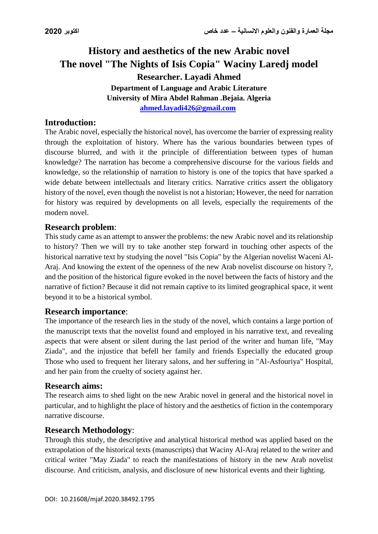# **History and aesthetics of the new Arabic novel The novel "The Nights of Isis Copia" Waciny Laredj model Researcher. Layadi Ahmed Department of Language and Arabic Literature University of Mira Abdel Rahman .Bejaia. Algeria [ahmed.layadi426@gmail.com](mailto:ahmed.layadi426@gmail.com)**

# **Introduction:**

The Arabic novel, especially the historical novel, has overcome the barrier of expressing reality through the exploitation of history. Where has the various boundaries between types of discourse blurred, and with it the principle of differentiation between types of human knowledge? The narration has become a comprehensive discourse for the various fields and knowledge, so the relationship of narration to history is one of the topics that have sparked a wide debate between intellectuals and literary critics. Narrative critics assert the obligatory history of the novel, even though the novelist is not a historian; However, the need for narration for history was required by developments on all levels, especially the requirements of the modern novel.

# **Research problem**:

This study came as an attempt to answer the problems: the new Arabic novel and its relationship to history? Then we will try to take another step forward in touching other aspects of the historical narrative text by studying the novel "Isis Copia" by the Algerian novelist Waceni Al-Araj. And knowing the extent of the openness of the new Arab novelist discourse on history ?, and the position of the historical figure evoked in the novel between the facts of history and the narrative of fiction? Because it did not remain captive to its limited geographical space, it went beyond it to be a historical symbol.

#### **Research importance**:

The importance of the research lies in the study of the novel, which contains a large portion of the manuscript texts that the novelist found and employed in his narrative text, and revealing aspects that were absent or silent during the last period of the writer and human life, "May Ziada", and the injustice that befell her family and friends Especially the educated group Those who used to frequent her literary salons, and her suffering in "Al-Asfouriya" Hospital, and her pain from the cruelty of society against her.

#### **Research aims:**

The research aims to shed light on the new Arabic novel in general and the historical novel in particular, and to highlight the place of history and the aesthetics of fiction in the contemporary narrative discourse.

#### **Research Methodology**:

Through this study, the descriptive and analytical historical method was applied based on the extrapolation of the historical texts (manuscripts) that Waciny Al-Araj related to the writer and critical writer "May Ziada" to reach the manifestations of history in the new Arab novelist discourse. And criticism, analysis, and disclosure of new historical events and their lighting.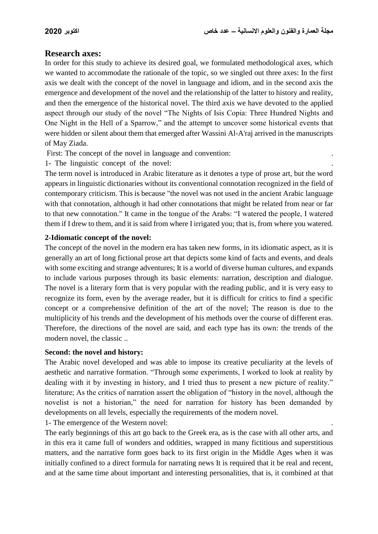# **Research axes:**

In order for this study to achieve its desired goal, we formulated methodological axes, which we wanted to accommodate the rationale of the topic, so we singled out three axes: In the first axis we dealt with the concept of the novel in language and idiom, and in the second axis the emergence and development of the novel and the relationship of the latter to history and reality, and then the emergence of the historical novel. The third axis we have devoted to the applied aspect through our study of the novel "The Nights of Isis Copia: Three Hundred Nights and One Night in the Hell of a Sparrow," and the attempt to uncover some historical events that were hidden or silent about them that emerged after Wassini Al-A'raj arrived in the manuscripts of May Ziada[.](https://www.google.com/search?q=Coronavirus&hl=fr)

First: The concept of the novel in language and convention:

1- The linguistic concept of the novel: .

The term novel is introduced in Arabic literature as it denotes a type of prose art, but the word appears in linguistic dictionaries without its conventional connotation recognized in the field of contemporary criticism. This is because "the novel was not used in the ancient Arabic language with that connotation, although it had other connotations that might be related from near or far to that new connotation." It came in the tongue of the Arabs: "I watered the people, I watered them if I drew to them, and it is said from where I irrigated you; that is, from where you watered.

### **2-Idiomatic concept of the novel:**

The concept of the novel in the modern era has taken new forms, in its idiomatic aspect, as it is generally an art of long fictional prose art that depicts some kind of facts and events, and deals with some exciting and strange adventures; It is a world of diverse human cultures, and expands to include various purposes through its basic elements: narration, description and dialogue. The novel is a literary form that is very popular with the reading public, and it is very easy to recognize its form, even by the average reader, but it is difficult for critics to find a specific concept or a comprehensive definition of the art of the novel; The reason is due to the multiplicity of his trends and the development of his methods over the course of different eras. Therefore, the directions of the novel are said, and each type has its own: the trends of the modern novel, the classic ..

#### **Second: the novel and history:**

The Arabic novel developed and was able to impose its creative peculiarity at the levels of aesthetic and narrative formation. "Through some experiments, I worked to look at reality by dealing with it by investing in history, and I tried thus to present a new picture of reality." literature; As the critics of narration assert the obligation of "history in the novel, although the novelist is not a historian," the need for narration for history has been demanded by developments on all levels, especially the requirements of the modern novel.

1- The emergence of the Western novel: .

The early beginnings of this art go back to the Greek era, as is the case with all other arts, and in this era it came full of wonders and oddities, wrapped in many fictitious and superstitious matters, and the narrative form goes back to its first origin in the Middle Ages when it was initially confined to a direct formula for narrating news It is required that it be real and recent, and at the same time about important and interesting personalities, that is, it combined at that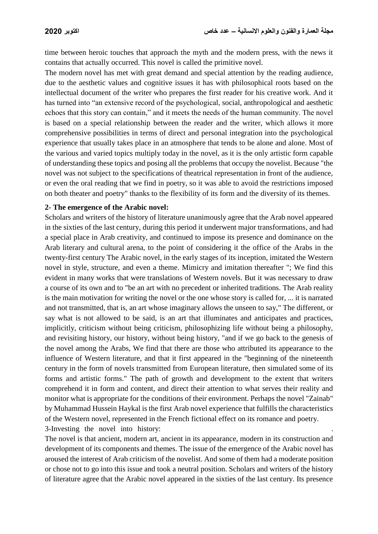time between heroic touches that approach the myth and the modern press, with the news it contains that actually occurred. This novel is called the primitive novel.

The modern novel has met with great demand and special attention by the reading audience, due to the aesthetic values and cognitive issues it has with philosophical roots based on the intellectual document of the writer who prepares the first reader for his creative work. And it has turned into "an extensive record of the psychological, social, anthropological and aesthetic echoes that this story can contain," and it meets the needs of the human community. The novel is based on a special relationship between the reader and the writer, which allows it more comprehensive possibilities in terms of direct and personal integration into the psychological experience that usually takes place in an atmosphere that tends to be alone and alone. Most of the various and varied topics multiply today in the novel, as it is the only artistic form capable of understanding these topics and posing all the problems that occupy the novelist. Because "the novel was not subject to the specifications of theatrical representation in front of the audience, or even the oral reading that we find in poetry, so it was able to avoid the restrictions imposed on both theater and poetry" thanks to the flexibility of its form and the diversity of its themes[.](javascript:void(0);)

#### **2- The emergence of the Arabic novel:**

Scholars and writers of the history of literature unanimously agree that the Arab novel appeared in the sixties of the last century, during this period it underwent major transformations, and had a special place in Arab creativity, and continued to impose its presence and dominance on the Arab literary and cultural arena, to the point of considering it the office of the Arabs in the twenty-first century The Arabic novel, in the early stages of its inception, imitated the Western novel in style, structure, and even a theme. Mimicry and imitation thereafter "; We find this evident in many works that were translations of Western novels. But it was necessary to draw a course of its own and to "be an art with no precedent or inherited traditions. The Arab reality is the main motivation for writing the novel or the one whose story is called for, ... it is narrated and not transmitted, that is, an art whose imaginary allows the unseen to say," The different, or say what is not allowed to be said, is an art that illuminates and anticipates and practices, implicitly, criticism without being criticism, philosophizing life without being a philosophy, and revisiting history, our history, without being history, "and if we go back to the genesis of the novel among the Arabs, We find that there are those who attributed its appearance to the influence of Western literature, and that it first appeared in the "beginning of the nineteenth century in the form of novels transmitted from European literature, then simulated some of its forms and artistic forms." The path of growth and development to the extent that writers comprehend it in form and content, and direct their attention to what serves their reality and monitor what is appropriate for the conditions of their environment. Perhaps the novel "Zainab" by Muhammad Hussein Haykal is the first Arab novel experience that fulfills the characteristics of the Western novel, represented in the French fictional effect on its romance and poetry. 3-Investing the novel into history: .

The novel is that ancient, modern art, ancient in its appearance, modern in its construction and development of its components and themes. The issue of the emergence of the Arabic novel has aroused the interest of Arab criticism of the novelist. And some of them had a moderate position or chose not to go into this issue and took a neutral position. Scholars and writers of the history of literature agree that the Arabic novel appeared in the sixties of the last century. Its presence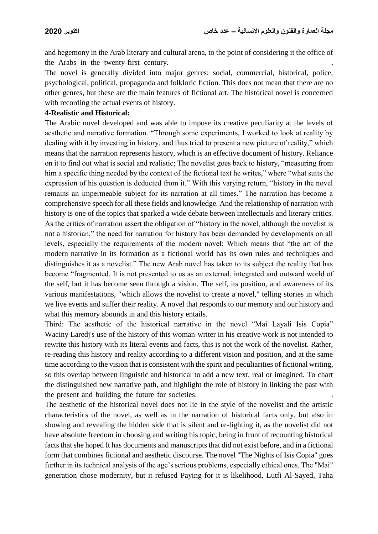and hegemony in the Arab literary and cultural arena, to the point of considering it the office of the Arabs in the twenty-first century.

The novel is generally divided into major genres: social, commercial, historical, police, psychological, political, propaganda and folkloric fiction. This does not mean that there are no other genres, but these are the main features of fictional art. The historical novel is concerned with recording the actual events of history.

#### **4-Realistic and Historical:**

The Arabic novel developed and was able to impose its creative peculiarity at the levels of aesthetic and narrative formation. "Through some experiments, I worked to look at reality by dealing with it by investing in history, and thus tried to present a new picture of reality," which means that the narration represents history, which is an effective document of history. Reliance on it to find out what is social and realistic; The novelist goes back to history, "measuring from him a specific thing needed by the context of the fictional text he writes," where "what suits the expression of his question is deducted from it." With this varying return, "history in the novel remains an impermeable subject for its narration at all times." The narration has become a comprehensive speech for all these fields and knowledge. And the relationship of narration with history is one of the topics that sparked a wide debate between intellectuals and literary critics. As the critics of narration assert the obligation of "history in the novel, although the novelist is not a historian," the need for narration for history has been demanded by developments on all levels, especially the requirements of the modern novel; Which means that "the art of the modern narrative in its formation as a fictional world has its own rules and techniques and distinguishes it as a novelist." The new Arab novel has taken to its subject the reality that has become "fragmented. It is not presented to us as an external, integrated and outward world of the self, but it has become seen through a vision. The self, its position, and awareness of its various manifestations, "which allows the novelist to create a novel," telling stories in which we live events and suffer their reality. A novel that responds to our memory and our history and what this memory abounds in and this history entails.

Third: The aesthetic of the historical narrative in the novel "Mai Layali Isis Copia" Waciny Laredj's use of the history of this woman-writer in his creative work is not intended to rewrite this history with its literal events and facts, this is not the work of the novelist. Rather, re-reading this history and reality according to a different vision and position, and at the same time according to the vision that is consistent with the spirit and peculiarities of fictional writing, so this overlap between linguistic and historical to add a new text, real or imagined. To chart the distinguished new narrative path, and highlight the role of history in linking the past with the present and building the future for societies. .

The aesthetic of the historical novel does not lie in the style of the novelist and the artistic characteristics of the novel, as well as in the narration of historical facts only, but also in showing and revealing the hidden side that is silent and re-lighting it, as the novelist did not have absolute freedom in choosing and writing his topic, being in front of recounting historical facts that she hoped It has documents and manuscripts that did not exist before, and in a fictional form that combines fictional and aesthetic discourse. The novel "The Nights of Isis Copia" goes further in its technical analysis of the age's serious problems, especially ethical ones. The "Mai" generation chose modernity, but it refused Paying for it is likelihood. Lutfi Al-Sayed, Taha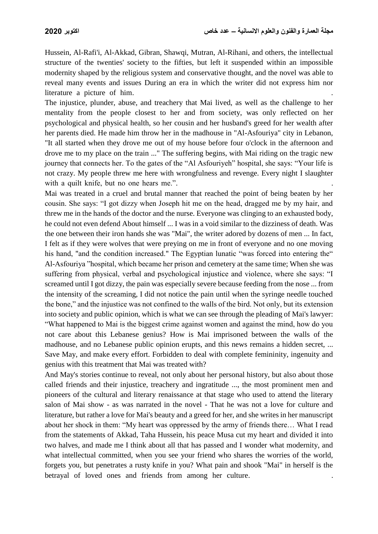Hussein, Al-Rafi'i, Al-Akkad, Gibran, Shawqi, Mutran, Al-Rihani, and others, the intellectual structure of the twenties' society to the fifties, but left it suspended within an impossible modernity shaped by the religious system and conservative thought, and the novel was able to reveal many events and issues During an era in which the writer did not express him nor literature a picture of him.

The injustice, plunder, abuse, and treachery that Mai lived, as well as the challenge to her mentality from the people closest to her and from society, was only reflected on her psychological and physical health, so her cousin and her husband's greed for her wealth after her parents died. He made him throw her in the madhouse in "Al-Asfouriya" city in Lebanon, "It all started when they drove me out of my house before four o'clock in the afternoon and drove me to my place on the train ..." The suffering begins, with Mai riding on the tragic new journey that connects her. To the gates of the "Al Asfouriyeh" hospital, she says: "Your life is not crazy. My people threw me here with wrongfulness and revenge. Every night I slaughter with a quilt knife, but no one hears me.".

Mai was treated in a cruel and brutal manner that reached the point of being beaten by her cousin. She says: "I got dizzy when Joseph hit me on the head, dragged me by my hair, and threw me in the hands of the doctor and the nurse. Everyone was clinging to an exhausted body, he could not even defend About himself ... I was in a void similar to the dizziness of death. Was the one between their iron hands she was "Mai", the writer adored by dozens of men ... In fact, I felt as if they were wolves that were preying on me in front of everyone and no one moving his hand, "and the condition increased." The Egyptian lunatic "was forced into entering the" Al-Asfouriya "hospital, which became her prison and cemetery at the same time; When she was suffering from physical, verbal and psychological injustice and violence, where she says: "I screamed until I got dizzy, the pain was especially severe because feeding from the nose ... from the intensity of the screaming, I did not notice the pain until when the syringe needle touched the bone," and the injustice was not confined to the walls of the bird. Not only, but its extension into society and public opinion, which is what we can see through the pleading of Mai's lawyer: "What happened to Mai is the biggest crime against women and against the mind, how do you not care about this Lebanese genius? How is Mai imprisoned between the walls of the madhouse, and no Lebanese public opinion erupts, and this news remains a hidden secret, ... Save May, and make every effort. Forbidden to deal with complete femininity, ingenuity and genius with this treatment that Mai was treated with?

And May's stories continue to reveal, not only about her personal history, but also about those called friends and their injustice, treachery and ingratitude ..., the most prominent men and pioneers of the cultural and literary renaissance at that stage who used to attend the literary salon of Mai show - as was narrated in the novel - That he was not a love for culture and literature, but rather a love for Mai's beauty and a greed for her, and she writes in her manuscript about her shock in them: "My heart was oppressed by the army of friends there… What I read from the statements of Akkad, Taha Hussein, his peace Musa cut my heart and divided it into two halves, and made me I think about all that has passed and I wonder what modernity, and what intellectual committed, when you see your friend who shares the worries of the world, forgets you, but penetrates a rusty knife in you? What pain and shook "Mai" in herself is the betrayal of loved ones and friends from among her culture.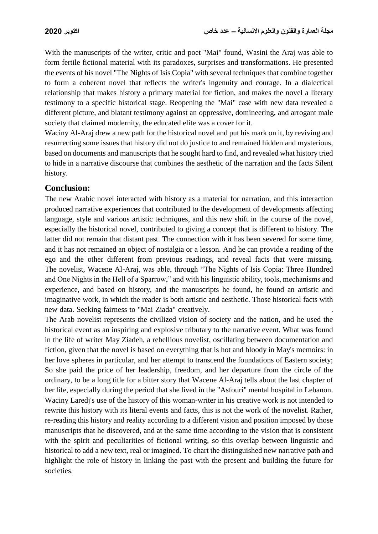With the manuscripts of the writer, critic and poet "Mai" found, Wasini the Araj was able to form fertile fictional material with its paradoxes, surprises and transformations. He presented the events of his novel "The Nights of Isis Copia" with several techniques that combine together to form a coherent novel that reflects the writer's ingenuity and courage. In a dialectical relationship that makes history a primary material for fiction, and makes the novel a literary testimony to a specific historical stage. Reopening the "Mai" case with new data revealed a different picture, and blatant testimony against an oppressive, domineering, and arrogant male society that claimed modernity, the educated elite was a cover for it.

Waciny Al-Araj drew a new path for the historical novel and put his mark on it, by reviving and resurrecting some issues that history did not do justice to and remained hidden and mysterious, based on documents and manuscripts that he sought hard to find, and revealed what history tried to hide in a narrative discourse that combines the aesthetic of the narration and the facts Silent history.

# **Conclusion:**

The new Arabic novel interacted with history as a material for narration, and this interaction produced narrative experiences that contributed to the development of developments affecting language, style and various artistic techniques, and this new shift in the course of the novel, especially the historical novel, contributed to giving a concept that is different to history. The latter did not remain that distant past. The connection with it has been severed for some time, and it has not remained an object of nostalgia or a lesson. And he can provide a reading of the ego and the other different from previous readings, and reveal facts that were missing. The novelist, Wacene Al-Araj, was able, through "The Nights of Isis Copia: Three Hundred and One Nights in the Hell of a Sparrow," and with his linguistic ability, tools, mechanisms and experience, and based on history, and the manuscripts he found, he found an artistic and imaginative work, in which the reader is both artistic and aesthetic. Those historical facts with new data. Seeking fairness to "Mai Ziada" creatively. .

The Arab novelist represents the civilized vision of society and the nation, and he used the historical event as an inspiring and explosive tributary to the narrative event. What was found in the life of writer May Ziadeh, a rebellious novelist, oscillating between documentation and fiction, given that the novel is based on everything that is hot and bloody in May's memoirs: in her love spheres in particular, and her attempt to transcend the foundations of Eastern society; So she paid the price of her leadership, freedom, and her departure from the circle of the ordinary, to be a long title for a bitter story that Wacene Al-Araj tells about the last chapter of her life, especially during the period that she lived in the "Asfouri" mental hospital in Lebanon. Waciny Laredj's use of the history of this woman-writer in his creative work is not intended to rewrite this history with its literal events and facts, this is not the work of the novelist. Rather, re-reading this history and reality according to a different vision and position imposed by those manuscripts that he discovered, and at the same time according to the vision that is consistent with the spirit and peculiarities of fictional writing, so this overlap between linguistic and historical to add a new text, real or imagined. To chart the distinguished new narrative path and highlight the role of history in linking the past with the present and building the future for societies.